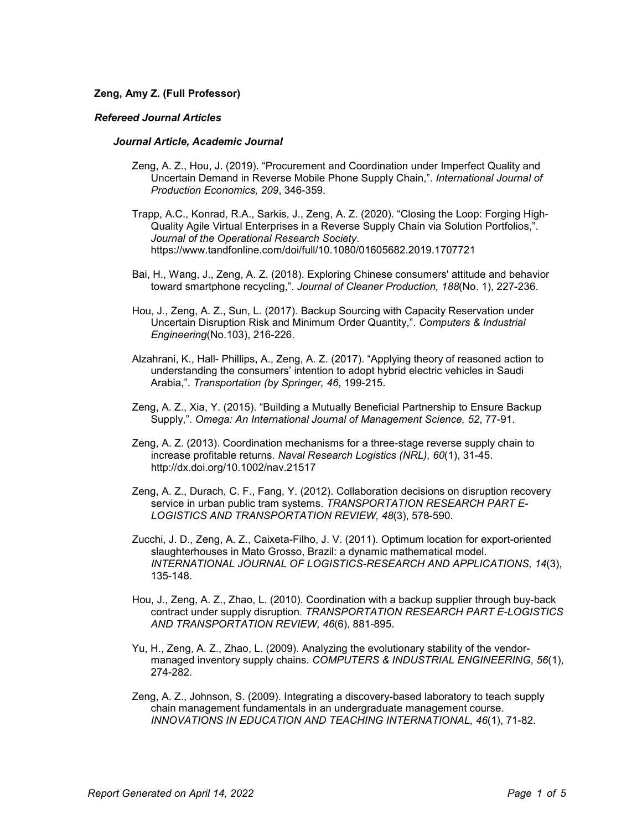# **Zeng, Amy Z. (Full Professor)**

## *Refereed Journal Articles*

## *Journal Article, Academic Journal*

- Zeng, A. Z., Hou, J. (2019). "Procurement and Coordination under Imperfect Quality and Uncertain Demand in Reverse Mobile Phone Supply Chain,". *International Journal of Production Economics, 209*, 346-359.
- Trapp, A.C., Konrad, R.A., Sarkis, J., Zeng, A. Z. (2020). "Closing the Loop: Forging High-Quality Agile Virtual Enterprises in a Reverse Supply Chain via Solution Portfolios,". *Journal of the Operational Research Society*. https://www.tandfonline.com/doi/full/10.1080/01605682.2019.1707721
- Bai, H., Wang, J., Zeng, A. Z. (2018). Exploring Chinese consumers' attitude and behavior toward smartphone recycling,". *Journal of Cleaner Production, 188*(No. 1), 227-236.
- Hou, J., Zeng, A. Z., Sun, L. (2017). Backup Sourcing with Capacity Reservation under Uncertain Disruption Risk and Minimum Order Quantity,". *Computers & Industrial Engineering*(No.103), 216-226.
- Alzahrani, K., Hall- Phillips, A., Zeng, A. Z. (2017). "Applying theory of reasoned action to understanding the consumers' intention to adopt hybrid electric vehicles in Saudi Arabia,". *Transportation (by Springer, 46*, 199-215.
- Zeng, A. Z., Xia, Y. (2015). "Building a Mutually Beneficial Partnership to Ensure Backup Supply,". *Omega: An International Journal of Management Science, 52*, 77-91.
- Zeng, A. Z. (2013). Coordination mechanisms for a three-stage reverse supply chain to increase profitable returns. *Naval Research Logistics (NRL), 60*(1), 31-45. http://dx.doi.org/10.1002/nav.21517
- Zeng, A. Z., Durach, C. F., Fang, Y. (2012). Collaboration decisions on disruption recovery service in urban public tram systems. *TRANSPORTATION RESEARCH PART E-LOGISTICS AND TRANSPORTATION REVIEW, 48*(3), 578-590.
- Zucchi, J. D., Zeng, A. Z., Caixeta-Filho, J. V. (2011). Optimum location for export-oriented slaughterhouses in Mato Grosso, Brazil: a dynamic mathematical model. *INTERNATIONAL JOURNAL OF LOGISTICS-RESEARCH AND APPLICATIONS, 14*(3), 135-148.
- Hou, J., Zeng, A. Z., Zhao, L. (2010). Coordination with a backup supplier through buy-back contract under supply disruption. *TRANSPORTATION RESEARCH PART E-LOGISTICS AND TRANSPORTATION REVIEW, 46*(6), 881-895.
- Yu, H., Zeng, A. Z., Zhao, L. (2009). Analyzing the evolutionary stability of the vendormanaged inventory supply chains. *COMPUTERS & INDUSTRIAL ENGINEERING, 56*(1), 274-282.
- Zeng, A. Z., Johnson, S. (2009). Integrating a discovery-based laboratory to teach supply chain management fundamentals in an undergraduate management course. *INNOVATIONS IN EDUCATION AND TEACHING INTERNATIONAL, 46*(1), 71-82.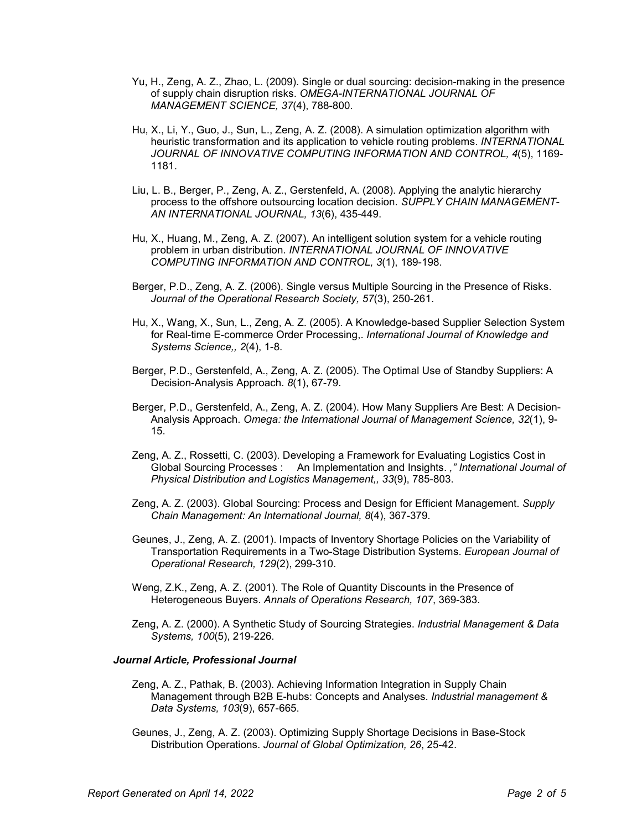- Yu, H., Zeng, A. Z., Zhao, L. (2009). Single or dual sourcing: decision-making in the presence of supply chain disruption risks. *OMEGA-INTERNATIONAL JOURNAL OF MANAGEMENT SCIENCE, 37*(4), 788-800.
- Hu, X., Li, Y., Guo, J., Sun, L., Zeng, A. Z. (2008). A simulation optimization algorithm with heuristic transformation and its application to vehicle routing problems. *INTERNATIONAL JOURNAL OF INNOVATIVE COMPUTING INFORMATION AND CONTROL, 4*(5), 1169- 1181.
- Liu, L. B., Berger, P., Zeng, A. Z., Gerstenfeld, A. (2008). Applying the analytic hierarchy process to the offshore outsourcing location decision. *SUPPLY CHAIN MANAGEMENT-AN INTERNATIONAL JOURNAL, 13*(6), 435-449.
- Hu, X., Huang, M., Zeng, A. Z. (2007). An intelligent solution system for a vehicle routing problem in urban distribution. *INTERNATIONAL JOURNAL OF INNOVATIVE COMPUTING INFORMATION AND CONTROL, 3*(1), 189-198.
- Berger, P.D., Zeng, A. Z. (2006). Single versus Multiple Sourcing in the Presence of Risks. *Journal of the Operational Research Society, 57*(3), 250-261.
- Hu, X., Wang, X., Sun, L., Zeng, A. Z. (2005). A Knowledge-based Supplier Selection System for Real-time E-commerce Order Processing,. *International Journal of Knowledge and Systems Science,, 2*(4), 1-8.
- Berger, P.D., Gerstenfeld, A., Zeng, A. Z. (2005). The Optimal Use of Standby Suppliers: A Decision-Analysis Approach. *8*(1), 67-79.
- Berger, P.D., Gerstenfeld, A., Zeng, A. Z. (2004). How Many Suppliers Are Best: A Decision-Analysis Approach. *Omega: the International Journal of Management Science, 32*(1), 9- 15.
- Zeng, A. Z., Rossetti, C. (2003). Developing a Framework for Evaluating Logistics Cost in Global Sourcing Processes : An Implementation and Insights. *," International Journal of Physical Distribution and Logistics Management,, 33*(9), 785-803.
- Zeng, A. Z. (2003). Global Sourcing: Process and Design for Efficient Management. *Supply Chain Management: An International Journal, 8*(4), 367-379.
- Geunes, J., Zeng, A. Z. (2001). Impacts of Inventory Shortage Policies on the Variability of Transportation Requirements in a Two-Stage Distribution Systems. *European Journal of Operational Research, 129*(2), 299-310.
- Weng, Z.K., Zeng, A. Z. (2001). The Role of Quantity Discounts in the Presence of Heterogeneous Buyers. *Annals of Operations Research, 107*, 369-383.
- Zeng, A. Z. (2000). A Synthetic Study of Sourcing Strategies. *Industrial Management & Data Systems, 100*(5), 219-226.

# *Journal Article, Professional Journal*

- Zeng, A. Z., Pathak, B. (2003). Achieving Information Integration in Supply Chain Management through B2B E-hubs: Concepts and Analyses. *Industrial management & Data Systems, 103*(9), 657-665.
- Geunes, J., Zeng, A. Z. (2003). Optimizing Supply Shortage Decisions in Base-Stock Distribution Operations. *Journal of Global Optimization, 26*, 25-42.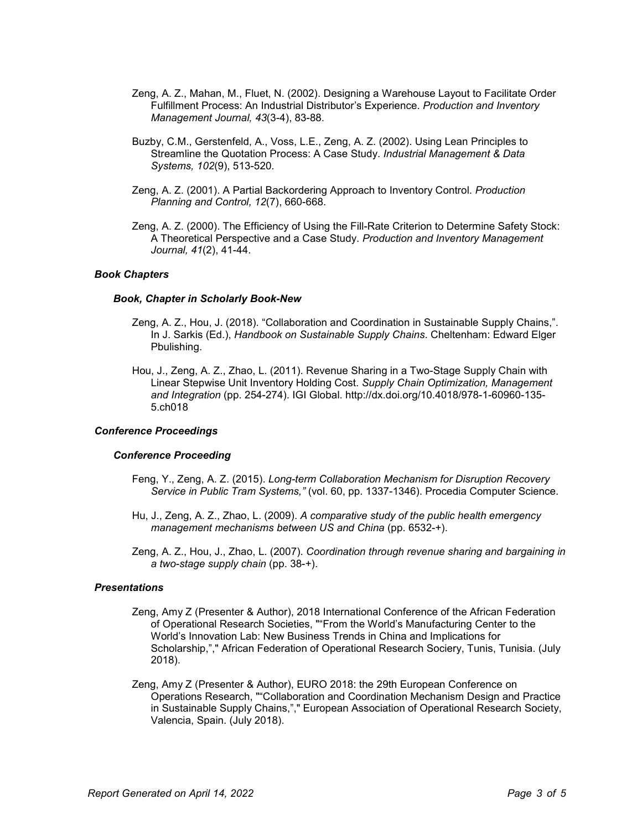- Zeng, A. Z., Mahan, M., Fluet, N. (2002). Designing a Warehouse Layout to Facilitate Order Fulfillment Process: An Industrial Distributor's Experience. *Production and Inventory Management Journal, 43*(3-4), 83-88.
- Buzby, C.M., Gerstenfeld, A., Voss, L.E., Zeng, A. Z. (2002). Using Lean Principles to Streamline the Quotation Process: A Case Study. *Industrial Management & Data Systems, 102*(9), 513-520.
- Zeng, A. Z. (2001). A Partial Backordering Approach to Inventory Control. *Production Planning and Control, 12*(7), 660-668.
- Zeng, A. Z. (2000). The Efficiency of Using the Fill-Rate Criterion to Determine Safety Stock: A Theoretical Perspective and a Case Study. *Production and Inventory Management Journal, 41*(2), 41-44.

## *Book Chapters*

#### *Book, Chapter in Scholarly Book-New*

- Zeng, A. Z., Hou, J. (2018). "Collaboration and Coordination in Sustainable Supply Chains,". In J. Sarkis (Ed.), *Handbook on Sustainable Supply Chains*. Cheltenham: Edward Elger Pbulishing.
- Hou, J., Zeng, A. Z., Zhao, L. (2011). Revenue Sharing in a Two-Stage Supply Chain with Linear Stepwise Unit Inventory Holding Cost. *Supply Chain Optimization, Management and Integration* (pp. 254-274). IGI Global. http://dx.doi.org/10.4018/978-1-60960-135- 5.ch018

# *Conference Proceedings*

## *Conference Proceeding*

- Feng, Y., Zeng, A. Z. (2015). *Long-term Collaboration Mechanism for Disruption Recovery Service in Public Tram Systems,"* (vol. 60, pp. 1337-1346). Procedia Computer Science.
- Hu, J., Zeng, A. Z., Zhao, L. (2009). *A comparative study of the public health emergency management mechanisms between US and China* (pp. 6532-+).
- Zeng, A. Z., Hou, J., Zhao, L. (2007). *Coordination through revenue sharing and bargaining in a two-stage supply chain* (pp. 38-+).

#### *Presentations*

- Zeng, Amy Z (Presenter & Author), 2018 International Conference of the African Federation of Operational Research Societies, ""From the World's Manufacturing Center to the World's Innovation Lab: New Business Trends in China and Implications for Scholarship,"," African Federation of Operational Research Sociery, Tunis, Tunisia. (July 2018).
- Zeng, Amy Z (Presenter & Author), EURO 2018: the 29th European Conference on Operations Research, ""Collaboration and Coordination Mechanism Design and Practice in Sustainable Supply Chains,"," European Association of Operational Research Society, Valencia, Spain. (July 2018).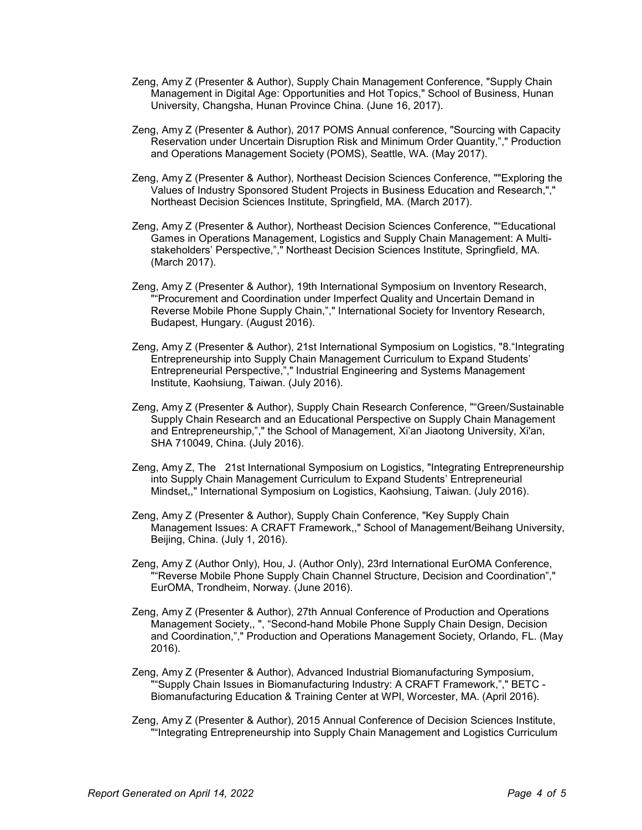- Zeng, Amy Z (Presenter & Author), Supply Chain Management Conference, "Supply Chain Management in Digital Age: Opportunities and Hot Topics," School of Business, Hunan University, Changsha, Hunan Province China. (June 16, 2017).
- Zeng, Amy Z (Presenter & Author), 2017 POMS Annual conference, "Sourcing with Capacity Reservation under Uncertain Disruption Risk and Minimum Order Quantity,"," Production and Operations Management Society (POMS), Seattle, WA. (May 2017).
- Zeng, Amy Z (Presenter & Author), Northeast Decision Sciences Conference, ""Exploring the Values of Industry Sponsored Student Projects in Business Education and Research,"," Northeast Decision Sciences Institute, Springfield, MA. (March 2017).
- Zeng, Amy Z (Presenter & Author), Northeast Decision Sciences Conference, ""Educational Games in Operations Management, Logistics and Supply Chain Management: A Multistakeholders' Perspective,"," Northeast Decision Sciences Institute, Springfield, MA. (March 2017).
- Zeng, Amy Z (Presenter & Author), 19th International Symposium on Inventory Research, ""Procurement and Coordination under Imperfect Quality and Uncertain Demand in Reverse Mobile Phone Supply Chain,"," International Society for Inventory Research, Budapest, Hungary. (August 2016).
- Zeng, Amy Z (Presenter & Author), 21st International Symposium on Logistics, "8."Integrating Entrepreneurship into Supply Chain Management Curriculum to Expand Students' Entrepreneurial Perspective,"," Industrial Engineering and Systems Management Institute, Kaohsiung, Taiwan. (July 2016).
- Zeng, Amy Z (Presenter & Author), Supply Chain Research Conference, ""Green/Sustainable Supply Chain Research and an Educational Perspective on Supply Chain Management and Entrepreneurship,"," the School of Management, Xi'an Jiaotong University, Xi'an, SHA 710049, China. (July 2016).
- Zeng, Amy Z, The 21st International Symposium on Logistics, "Integrating Entrepreneurship into Supply Chain Management Curriculum to Expand Students' Entrepreneurial Mindset,," International Symposium on Logistics, Kaohsiung, Taiwan. (July 2016).
- Zeng, Amy Z (Presenter & Author), Supply Chain Conference, "Key Supply Chain Management Issues: A CRAFT Framework,," School of Management/Beihang University, Beijing, China. (July 1, 2016).
- Zeng, Amy Z (Author Only), Hou, J. (Author Only), 23rd International EurOMA Conference, ""Reverse Mobile Phone Supply Chain Channel Structure, Decision and Coordination"," EurOMA, Trondheim, Norway. (June 2016).
- Zeng, Amy Z (Presenter & Author), 27th Annual Conference of Production and Operations Management Society,, ", "Second-hand Mobile Phone Supply Chain Design, Decision and Coordination,"," Production and Operations Management Society, Orlando, FL. (May 2016).
- Zeng, Amy Z (Presenter & Author), Advanced Industrial Biomanufacturing Symposium, ""Supply Chain Issues in Biomanufacturing Industry: A CRAFT Framework,"," BETC - Biomanufacturing Education & Training Center at WPI, Worcester, MA. (April 2016).
- Zeng, Amy Z (Presenter & Author), 2015 Annual Conference of Decision Sciences Institute, ""Integrating Entrepreneurship into Supply Chain Management and Logistics Curriculum